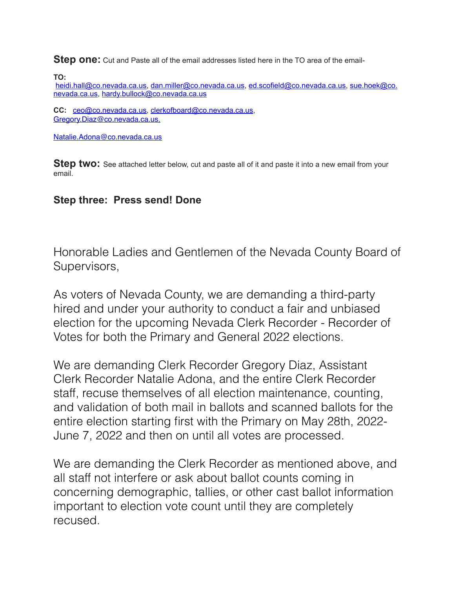**Step one:** Cut and Paste all of the email addresses listed here in the TO area of the email-

**TO:**

[heidi.hall@co.nevada.ca.us](mailto:heidi.hall@co.nevada.ca.us), [dan.miller@co.nevada.ca.us](mailto:dan.miller@co.nevada.ca.us), [ed.scofield@co.nevada.ca.us](mailto:ed.scofield@co.nevada.ca.us), [sue.hoek@co.](mailto:sue.hoek@co.nevada.ca.us) [nevada.ca.us,](mailto:sue.hoek@co.nevada.ca.us) [hardy.bullock@co.nevada.ca.us](mailto:hardy.bullock@co.nevada.ca.us)

**CC:** [ceo@co.nevada.ca.us](mailto:ceo@co.nevada.ca.us), [clerkofboard@co.nevada.ca.us,](mailto:clerkofboard@co.nevada.ca.us) [Gregory.Diaz@co.nevada.ca.us](mailto:Gregory.Diaz@co.nevada.ca.us),

[Natalie.Adona@co.nevada.ca.us](mailto:Natalie.Adona@co.nevada.ca.us)

**Step two:** See attached letter below, cut and paste all of it and paste it into a new email from your email.

## **Step three: Press send! Done**

Honorable Ladies and Gentlemen of the Nevada County Board of Supervisors,

As voters of Nevada County, we are demanding a third-party hired and under your authority to conduct a fair and unbiased election for the upcoming Nevada Clerk Recorder - Recorder of Votes for both the Primary and General 2022 elections.

We are demanding Clerk Recorder Gregory Diaz, Assistant Clerk Recorder Natalie Adona, and the entire Clerk Recorder staff, recuse themselves of all election maintenance, counting, and validation of both mail in ballots and scanned ballots for the entire election starting first with the Primary on May 28th, 2022- June 7, 2022 and then on until all votes are processed.

We are demanding the Clerk Recorder as mentioned above, and all staff not interfere or ask about ballot counts coming in concerning demographic, tallies, or other cast ballot information important to election vote count until they are completely recused.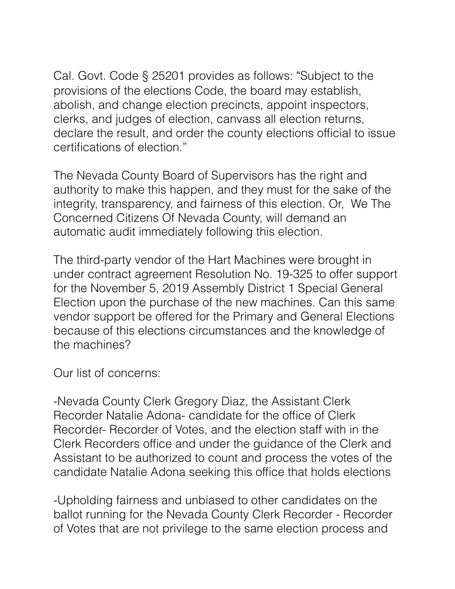Cal. Govt. Code § 25201 provides as follows: "Subject to the provisions of the elections Code, the board may establish, abolish, and change election precincts, appoint inspectors, clerks, and judges of election, canvass all election returns, declare the result, and order the county elections official to issue certifications of election."

The Nevada County Board of Supervisors has the right and authority to make this happen, and they must for the sake of the integrity, transparency, and fairness of this election. Or, We The Concerned Citizens Of Nevada County, will demand an automatic audit immediately following this election.

The third-party vendor of the Hart Machines were brought in under contract agreement Resolution No. 19-325 to offer support for the November 5, 2019 Assembly District 1 Special General Election upon the purchase of the new machines. Can this same vendor support be offered for the Primary and General Elections because of this elections circumstances and the knowledge of the machines?

Our list of concerns:

-Nevada County Clerk Gregory Diaz, the Assistant Clerk Recorder Natalie Adona- candidate for the office of Clerk Recorder- Recorder of Votes, and the election staff with in the Clerk Recorders office and under the guidance of the Clerk and Assistant to be authorized to count and process the votes of the candidate Natalie Adona seeking this office that holds elections

-Upholding fairness and unbiased to other candidates on the ballot running for the Nevada County Clerk Recorder - Recorder of Votes that are not privilege to the same election process and